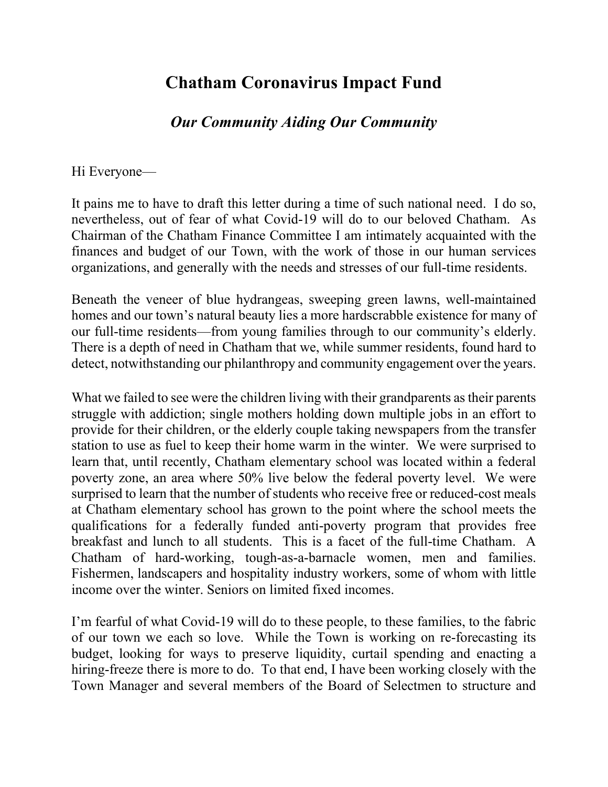## **Chatham Coronavirus Impact Fund**

## *Our Community Aiding Our Community*

## Hi Everyone—

It pains me to have to draft this letter during a time of such national need. I do so, nevertheless, out of fear of what Covid-19 will do to our beloved Chatham. As Chairman of the Chatham Finance Committee I am intimately acquainted with the finances and budget of our Town, with the work of those in our human services organizations, and generally with the needs and stresses of our full-time residents.

Beneath the veneer of blue hydrangeas, sweeping green lawns, well-maintained homes and our town's natural beauty lies a more hardscrabble existence for many of our full-time residents—from young families through to our community's elderly. There is a depth of need in Chatham that we, while summer residents, found hard to detect, notwithstanding our philanthropy and community engagement over the years.

What we failed to see were the children living with their grandparents as their parents struggle with addiction; single mothers holding down multiple jobs in an effort to provide for their children, or the elderly couple taking newspapers from the transfer station to use as fuel to keep their home warm in the winter. We were surprised to learn that, until recently, Chatham elementary school was located within a federal poverty zone, an area where 50% live below the federal poverty level. We were surprised to learn that the number of students who receive free or reduced-cost meals at Chatham elementary school has grown to the point where the school meets the qualifications for a federally funded anti-poverty program that provides free breakfast and lunch to all students. This is a facet of the full-time Chatham. A Chatham of hard-working, tough-as-a-barnacle women, men and families. Fishermen, landscapers and hospitality industry workers, some of whom with little income over the winter. Seniors on limited fixed incomes.

I'm fearful of what Covid-19 will do to these people, to these families, to the fabric of our town we each so love. While the Town is working on re-forecasting its budget, looking for ways to preserve liquidity, curtail spending and enacting a hiring-freeze there is more to do. To that end, I have been working closely with the Town Manager and several members of the Board of Selectmen to structure and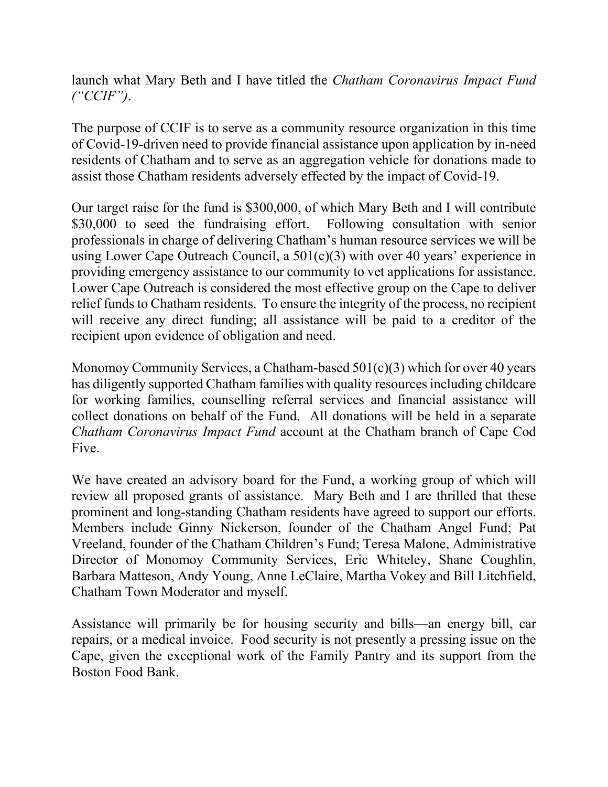launch what Mary Beth and I have titled the *Chatham Coronavirus Impact Fund ("CCIF")*.

The purpose of CCIF is to serve as a community resource organization in this time of Covid-19-driven need to provide financial assistance upon application by in-need residents of Chatham and to serve as an aggregation vehicle for donations made to assist those Chatham residents adversely effected by the impact of Covid-19.

Our target raise for the fund is \$300,000, of which Mary Beth and I will contribute \$30,000 to seed the fundraising effort. Following consultation with senior professionals in charge of delivering Chatham's human resource services we will be using Lower Cape Outreach Council, a 501(c)(3) with over 40 years' experience in providing emergency assistance to our community to vet applications for assistance. Lower Cape Outreach is considered the most effective group on the Cape to deliver relief funds to Chatham residents. To ensure the integrity of the process, no recipient will receive any direct funding; all assistance will be paid to a creditor of the recipient upon evidence of obligation and need.

Monomoy Community Services, a Chatham-based 501(c)(3) which for over 40 years has diligently supported Chatham families with quality resources including childcare for working families, counselling referral services and financial assistance will collect donations on behalf of the Fund. All donations will be held in a separate *Chatham Coronavirus Impact Fund* account at the Chatham branch of Cape Cod Five.

We have created an advisory board for the Fund, a working group of which will review all proposed grants of assistance. Mary Beth and I are thrilled that these prominent and long-standing Chatham residents have agreed to support our efforts. Members include Ginny Nickerson, founder of the Chatham Angel Fund; Pat Vreeland, founder of the Chatham Children's Fund; Teresa Malone, Administrative Director of Monomoy Community Services, Eric Whiteley, Shane Coughlin, Barbara Matteson, Andy Young, Anne LeClaire, Martha Vokey and Bill Litchfield, Chatham Town Moderator and myself.

Assistance will primarily be for housing security and bills—an energy bill, car repairs, or a medical invoice. Food security is not presently a pressing issue on the Cape, given the exceptional work of the Family Pantry and its support from the Boston Food Bank.